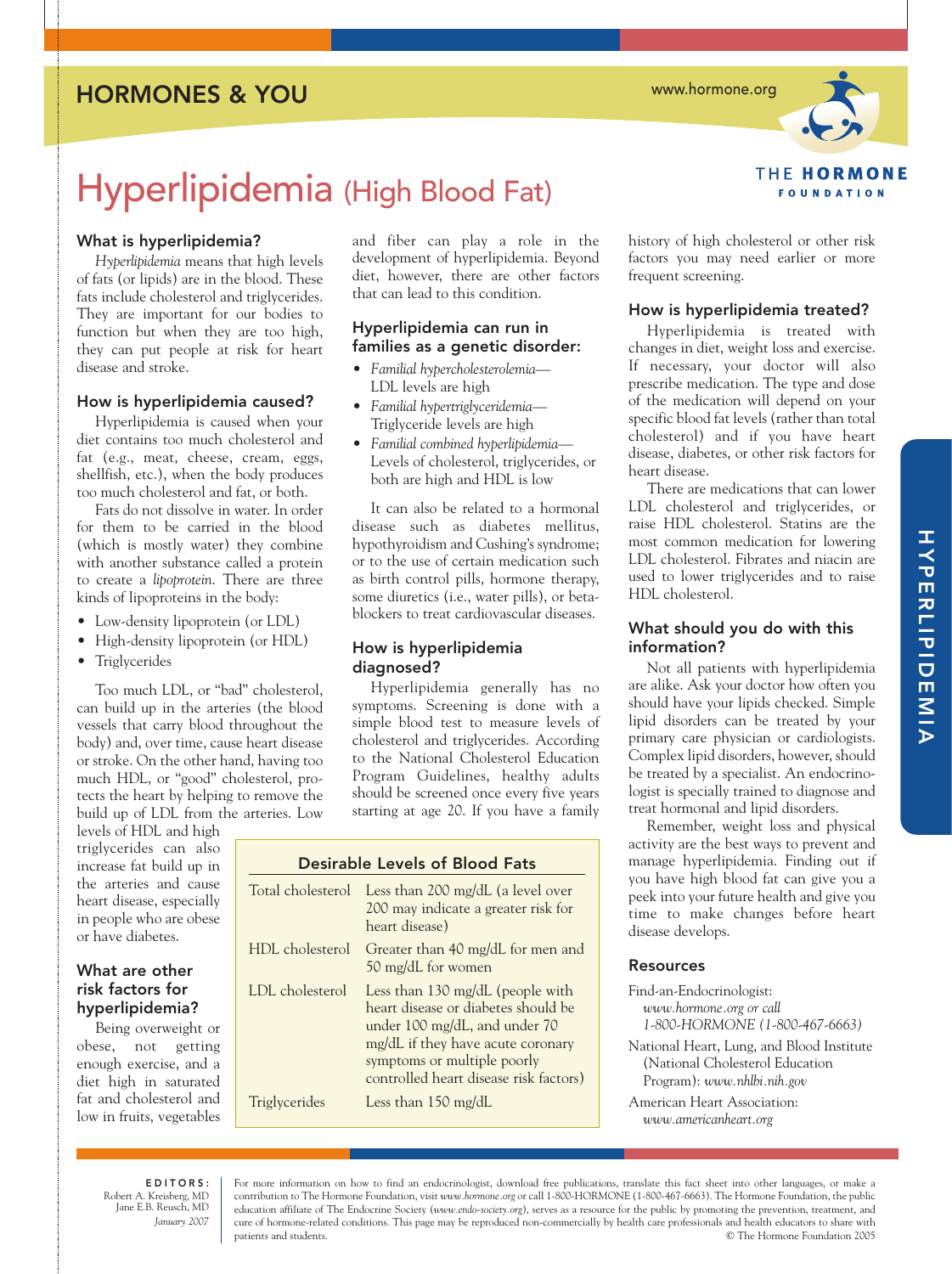# HORMONES & YOU

www.hormone.org



Hyperlipidemia (High Blood Fat)

# What is hyperlipidemia?

*Hyperlipidemia* means that high levels of fats (or lipids) are in the blood. These fats include cholesterol and triglycerides. They are important for our bodies to function but when they are too high, they can put people at risk for heart disease and stroke.

# How is hyperlipidemia caused?

Hyperlipidemia is caused when your diet contains too much cholesterol and fat (e.g., meat, cheese, cream, eggs, shellfish, etc.), when the body produces too much cholesterol and fat, or both.

Fats do not dissolve in water. In order for them to be carried in the blood (which is mostly water) they combine with another substance called a protein to create a *lipoprotein*. There are three kinds of lipoproteins in the body:

- Low-density lipoprotein (or LDL)
- High-density lipoprotein (or HDL)
- Triglycerides

Too much LDL, or "bad" cholesterol, can build up in the arteries (the blood vessels that carry blood throughout the body) and, over time, cause heart disease or stroke. On the other hand, having too much HDL, or "good" cholesterol, protects the heart by helping to remove the build up of LDL from the arteries. Low

levels of HDL and high triglycerides can also increase fat build up in the arteries and cause heart disease, especially in people who are obese or have diabetes.

# What are other risk factors for hyperlipidemia?

Being overweight or obese, not getting enough exercise, and a diet high in saturated fat and cholesterol and low in fruits, vegetables and fiber can play a role in the development of hyperlipidemia. Beyond diet, however, there are other factors that can lead to this condition.

### Hyperlipidemia can run in families as a genetic disorder:

- *Familial hypercholesterolemia* LDL levels are high
- *Familial hypertriglyceridemia* Triglyceride levels are high
- *Familial combined hyperlipidemia* Levels of cholesterol, triglycerides, or both are high and HDL is low

It can also be related to a hormonal disease such as diabetes mellitus, hypothyroidism and Cushing's syndrome; or to the use of certain medication such as birth control pills, hormone therapy, some diuretics (i.e., water pills), or betablockers to treat cardiovascular diseases.

### How is hyperlipidemia diagnosed?

Hyperlipidemia generally has no symptoms. Screening is done with a simple blood test to measure levels of cholesterol and triglycerides. According to the National Cholesterol Education Program Guidelines, healthy adults should be screened once every five years starting at age 20. If you have a family

| Desirable Levels of Blood Fats |                                                                                                                                                                                                                        |
|--------------------------------|------------------------------------------------------------------------------------------------------------------------------------------------------------------------------------------------------------------------|
| Total cholesterol              | Less than 200 mg/dL (a level over<br>200 may indicate a greater risk for<br>heart disease)                                                                                                                             |
| HDL cholesterol                | Greater than 40 mg/dL for men and<br>50 mg/dL for women                                                                                                                                                                |
| LDL cholesterol                | Less than 130 mg/dL (people with<br>heart disease or diabetes should be<br>under 100 mg/dL, and under 70<br>mg/dL if they have acute coronary<br>symptoms or multiple poorly<br>controlled heart disease risk factors) |
| Triglycerides                  | Less than $150 \text{ mg/dL}$                                                                                                                                                                                          |

history of high cholesterol or other risk factors you may need earlier or more frequent screening.

# How is hyperlipidemia treated?

Hyperlipidemia is treated with changes in diet, weight loss and exercise. If necessary, your doctor will also prescribe medication. The type and dose of the medication will depend on your specific blood fat levels (rather than total cholesterol) and if you have heart disease, diabetes, or other risk factors for heart disease.

There are medications that can lower LDL cholesterol and triglycerides, or raise HDL cholesterol. Statins are the most common medication for lowering LDL cholesterol. Fibrates and niacin are used to lower triglycerides and to raise HDL cholesterol.

# What should you do with this information?

Not all patients with hyperlipidemia are alike. Ask your doctor how often you should have your lipids checked. Simple lipid disorders can be treated by your primary care physician or cardiologists. Complex lipid disorders, however, should be treated by a specialist. An endocrinologist is specially trained to diagnose and treat hormonal and lipid disorders.

Remember, weight loss and physical activity are the best ways to prevent and manage hyperlipidemia. Finding out if you have high blood fat can give you a peek into your future health and give you time to make changes before heart disease develops.

# Resources

Find-an-Endocrinologist: *www.hormone.org or call 1-800-HORMONE (1-800-467-6663)* National Heart, Lung, and Blood Institute

(National Cholesterol Education Program): *www.nhlbi.nih.gov*

American Heart Association: *www.americanheart.org*

EDITORS: Robert A. Kreisberg, MD Jane E.B. Reusch, MD *January 2007*

For more information on how to find an endocrinologist, download free publications, translate this fact sheet into other languages, or make a contribution to The Hormone Foundation, visit *www.hormone.org* or call 1-800-HORMONE (1-800-467-6663). The Hormone Foundation, the public education affiliate of The Endocrine Society (*www.endo-society.org*), serves as a resource for the public by promoting the prevention, treatment, and cure of hormone-related conditions. This page may be reproduced non-commercially by health care professionals and health educators to share with patients and students. © The Hormone Foundation 2005